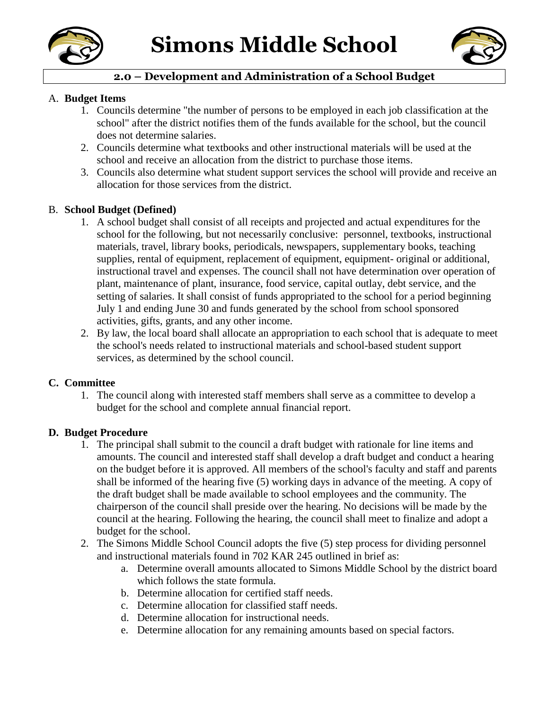



# **2.0 – Development and Administration of a School Budget**

#### A. **Budget Items**

- 1. Councils determine "the number of persons to be employed in each job classification at the school" after the district notifies them of the funds available for the school, but the council does not determine salaries.
- 2. Councils determine what textbooks and other instructional materials will be used at the school and receive an allocation from the district to purchase those items.
- 3. Councils also determine what student support services the school will provide and receive an allocation for those services from the district.

#### B. **School Budget (Defined)**

- 1. A school budget shall consist of all receipts and projected and actual expenditures for the school for the following, but not necessarily conclusive: personnel, textbooks, instructional materials, travel, library books, periodicals, newspapers, supplementary books, teaching supplies, rental of equipment, replacement of equipment, equipment- original or additional, instructional travel and expenses. The council shall not have determination over operation of plant, maintenance of plant, insurance, food service, capital outlay, debt service, and the setting of salaries. It shall consist of funds appropriated to the school for a period beginning July 1 and ending June 30 and funds generated by the school from school sponsored activities, gifts, grants, and any other income.
- 2. By law, the local board shall allocate an appropriation to each school that is adequate to meet the school's needs related to instructional materials and school-based student support services, as determined by the school council.

### **C. Committee**

1. The council along with interested staff members shall serve as a committee to develop a budget for the school and complete annual financial report.

### **D. Budget Procedure**

- 1. The principal shall submit to the council a draft budget with rationale for line items and amounts. The council and interested staff shall develop a draft budget and conduct a hearing on the budget before it is approved. All members of the school's faculty and staff and parents shall be informed of the hearing five (5) working days in advance of the meeting. A copy of the draft budget shall be made available to school employees and the community. The chairperson of the council shall preside over the hearing. No decisions will be made by the council at the hearing. Following the hearing, the council shall meet to finalize and adopt a budget for the school.
- 2. The Simons Middle School Council adopts the five (5) step process for dividing personnel and instructional materials found in 702 KAR 245 outlined in brief as:
	- a. Determine overall amounts allocated to Simons Middle School by the district board which follows the state formula.
	- b. Determine allocation for certified staff needs.
	- c. Determine allocation for classified staff needs.
	- d. Determine allocation for instructional needs.
	- e. Determine allocation for any remaining amounts based on special factors.